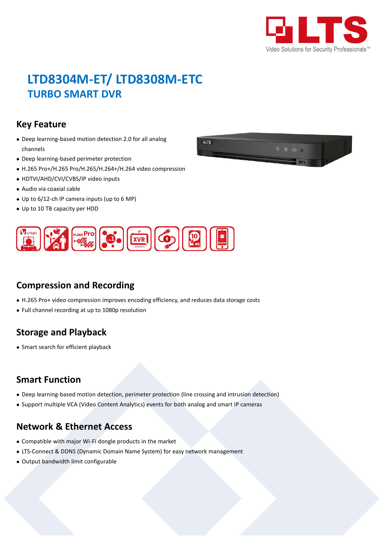

# **LTD8304M-ET/ LTD8308M-ETC TURBO SMART DVR**

#### **Key Feature**

- Deep learning-based motion detection 2.0 for all analog channels
- Deep learning-based perimeter protection
- H.265 Pro+/H.265 Pro/H.265/H.264+/H.264 video compression
- HDTVI/AHD/CVI/CVBS/IP video inputs
- Audio via coaxial cable
- Up to 6/12-ch IP camera inputs (up to 6 MP)
- Up to 10 TB capacity per HDD





### **Compression and Recording**

- H.265 Pro+ video compression improves encoding efficiency, and reduces data storage costs
- Full channel recording at up to 1080p resolution

### **Storage and Playback**

• Smart search for efficient playback

### **Smart Function**

- Deep learning-based motion detection, perimeter protection (line crossing and intrusion detection)
- Support multiple VCA (Video Content Analytics) events for both analog and smart IP cameras

### **Network & Ethernet Access**

- Compatible with major Wi-Fi dongle products in the market
- LTS-Connect & DDNS (Dynamic Domain Name System) for easy network management
- Output bandwidth limit configurable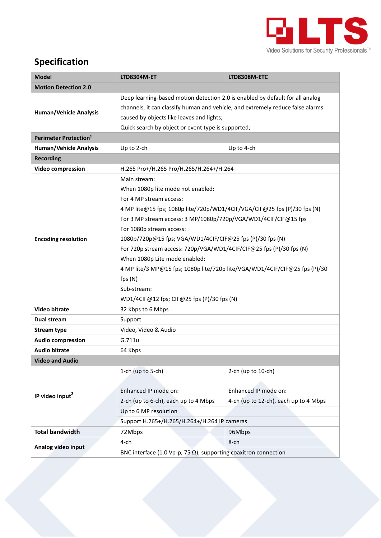

## **Specification**

| <b>Model</b>                            | <b>LTD8304M-ET</b>                                                                                                                                                                                                                                                                                                                                                                                                                                                                                                                                                                 | LTD8308M-ETC                                                                        |  |  |  |
|-----------------------------------------|------------------------------------------------------------------------------------------------------------------------------------------------------------------------------------------------------------------------------------------------------------------------------------------------------------------------------------------------------------------------------------------------------------------------------------------------------------------------------------------------------------------------------------------------------------------------------------|-------------------------------------------------------------------------------------|--|--|--|
| Motion Detection 2.0 <sup>1</sup>       |                                                                                                                                                                                                                                                                                                                                                                                                                                                                                                                                                                                    |                                                                                     |  |  |  |
| <b>Human/Vehicle Analysis</b>           | Deep learning-based motion detection 2.0 is enabled by default for all analog<br>channels, it can classify human and vehicle, and extremely reduce false alarms<br>caused by objects like leaves and lights;<br>Quick search by object or event type is supported;                                                                                                                                                                                                                                                                                                                 |                                                                                     |  |  |  |
| <b>Perimeter Protection<sup>1</sup></b> |                                                                                                                                                                                                                                                                                                                                                                                                                                                                                                                                                                                    |                                                                                     |  |  |  |
| <b>Human/Vehicle Analysis</b>           | Up to 2-ch                                                                                                                                                                                                                                                                                                                                                                                                                                                                                                                                                                         | Up to 4-ch                                                                          |  |  |  |
| <b>Recording</b>                        |                                                                                                                                                                                                                                                                                                                                                                                                                                                                                                                                                                                    |                                                                                     |  |  |  |
| <b>Video compression</b>                | H.265 Pro+/H.265 Pro/H.265/H.264+/H.264                                                                                                                                                                                                                                                                                                                                                                                                                                                                                                                                            |                                                                                     |  |  |  |
| <b>Encoding resolution</b>              | Main stream:<br>When 1080p lite mode not enabled:<br>For 4 MP stream access:<br>4 MP lite@15 fps; 1080p lite/720p/WD1/4CIF/VGA/CIF@25 fps (P)/30 fps (N)<br>For 3 MP stream access: 3 MP/1080p/720p/VGA/WD1/4CIF/CIF@15 fps<br>For 1080p stream access:<br>1080p/720p@15 fps; VGA/WD1/4CIF/CIF@25 fps (P)/30 fps (N)<br>For 720p stream access: 720p/VGA/WD1/4CIF/CIF@25 fps (P)/30 fps (N)<br>When 1080p Lite mode enabled:<br>4 MP lite/3 MP@15 fps; 1080p lite/720p lite/VGA/WD1/4CIF/CIF@25 fps (P)/30<br>fps (N)<br>Sub-stream:<br>WD1/4CIF@12 fps; CIF@25 fps (P)/30 fps (N) |                                                                                     |  |  |  |
| <b>Video bitrate</b>                    | 32 Kbps to 6 Mbps                                                                                                                                                                                                                                                                                                                                                                                                                                                                                                                                                                  |                                                                                     |  |  |  |
| Dual stream                             | Support                                                                                                                                                                                                                                                                                                                                                                                                                                                                                                                                                                            |                                                                                     |  |  |  |
| <b>Stream type</b>                      | Video, Video & Audio                                                                                                                                                                                                                                                                                                                                                                                                                                                                                                                                                               |                                                                                     |  |  |  |
| <b>Audio compression</b>                | G.711u                                                                                                                                                                                                                                                                                                                                                                                                                                                                                                                                                                             |                                                                                     |  |  |  |
| <b>Audio bitrate</b>                    | 64 Kbps                                                                                                                                                                                                                                                                                                                                                                                                                                                                                                                                                                            |                                                                                     |  |  |  |
| <b>Video and Audio</b>                  |                                                                                                                                                                                                                                                                                                                                                                                                                                                                                                                                                                                    |                                                                                     |  |  |  |
| IP video input <sup>2</sup>             | 1-ch (up to 5-ch)<br>Enhanced IP mode on:<br>2-ch (up to 6-ch), each up to 4 Mbps<br>Up to 6 MP resolution<br>Support H.265+/H.265/H.264+/H.264 IP cameras                                                                                                                                                                                                                                                                                                                                                                                                                         | 2-ch (up to 10-ch)<br>Enhanced IP mode on:<br>4-ch (up to 12-ch), each up to 4 Mbps |  |  |  |
| <b>Total bandwidth</b>                  | 72Mbps                                                                                                                                                                                                                                                                                                                                                                                                                                                                                                                                                                             | 96Mbps                                                                              |  |  |  |
| Analog video input                      | 4-ch                                                                                                                                                                                                                                                                                                                                                                                                                                                                                                                                                                               | 8-ch                                                                                |  |  |  |
|                                         | BNC interface (1.0 Vp-p, 75 $\Omega$ ), supporting coaxitron connection                                                                                                                                                                                                                                                                                                                                                                                                                                                                                                            |                                                                                     |  |  |  |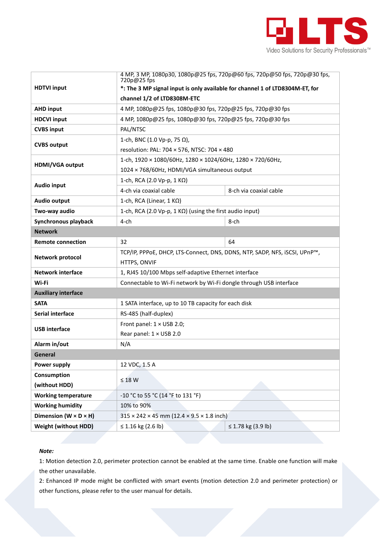

|                                     | 4 MP, 3 MP, 1080p30, 1080p@25 fps, 720p@60 fps, 720p@50 fps, 720p@30 fps,<br>720p@25 fps   |                        |  |
|-------------------------------------|--------------------------------------------------------------------------------------------|------------------------|--|
| <b>HDTVI input</b>                  | *: The 3 MP signal input is only available for channel 1 of LTD8304M-ET, for               |                        |  |
|                                     | channel 1/2 of LTD8308M-ETC                                                                |                        |  |
| <b>AHD input</b>                    | 4 MP, 1080p@25 fps, 1080p@30 fps, 720p@25 fps, 720p@30 fps                                 |                        |  |
| <b>HDCVI input</b>                  | 4 MP, 1080p@25 fps, 1080p@30 fps, 720p@25 fps, 720p@30 fps                                 |                        |  |
| <b>CVBS input</b>                   | PAL/NTSC                                                                                   |                        |  |
| <b>CVBS output</b>                  | 1-ch, BNC (1.0 Vp-p, 75 $\Omega$ ),                                                        |                        |  |
|                                     | resolution: PAL: 704 × 576, NTSC: 704 × 480                                                |                        |  |
| HDMI/VGA output                     | 1-ch, 1920 × 1080/60Hz, 1280 × 1024/60Hz, 1280 × 720/60Hz,                                 |                        |  |
|                                     | 1024 × 768/60Hz, HDMI/VGA simultaneous output                                              |                        |  |
|                                     | 1-ch, RCA (2.0 Vp-p, 1 KΩ)                                                                 |                        |  |
| <b>Audio input</b>                  | 4-ch via coaxial cable                                                                     | 8-ch via coaxial cable |  |
| <b>Audio output</b>                 | 1-ch, RCA (Linear, 1 $K\Omega$ )                                                           |                        |  |
| Two-way audio                       | 1-ch, RCA (2.0 Vp-p, 1 KΩ) (using the first audio input)                                   |                        |  |
| Synchronous playback                | 4-ch                                                                                       | 8-ch                   |  |
| <b>Network</b>                      |                                                                                            |                        |  |
| <b>Remote connection</b>            | 32                                                                                         | 64                     |  |
| <b>Network protocol</b>             | TCP/IP, PPPoE, DHCP, LTS-Connect, DNS, DDNS, NTP, SADP, NFS, iSCSI, UPnP™,<br>HTTPS, ONVIF |                        |  |
| <b>Network interface</b>            | 1, RJ45 10/100 Mbps self-adaptive Ethernet interface                                       |                        |  |
| Wi-Fi                               | Connectable to Wi-Fi network by Wi-Fi dongle through USB interface                         |                        |  |
| <b>Auxiliary interface</b>          |                                                                                            |                        |  |
| <b>SATA</b>                         | 1 SATA interface, up to 10 TB capacity for each disk                                       |                        |  |
| Serial interface                    | RS-485 (half-duplex)                                                                       |                        |  |
|                                     | Front panel: $1 \times$ USB 2.0;                                                           |                        |  |
| <b>USB</b> interface                | Rear panel: 1 × USB 2.0                                                                    |                        |  |
| Alarm in/out                        | N/A                                                                                        |                        |  |
| General                             |                                                                                            |                        |  |
| <b>Power supply</b>                 | 12 VDC, 1.5 A                                                                              |                        |  |
| Consumption                         |                                                                                            |                        |  |
| (without HDD)                       | $\leq 18$ W                                                                                |                        |  |
| <b>Working temperature</b>          | -10 °C to 55 °C (14 °F to 131 °F)                                                          |                        |  |
| <b>Working humidity</b>             | 10% to 90%                                                                                 |                        |  |
| Dimension ( $W \times D \times H$ ) | $315 \times 242 \times 45$ mm (12.4 $\times$ 9.5 $\times$ 1.8 inch)                        |                        |  |
| <b>Weight (without HDD)</b>         | ≤ 1.16 kg (2.6 lb)                                                                         | ≤ 1.78 kg (3.9 lb)     |  |

#### *Note:*

1: Motion detection 2.0, perimeter protection cannot be enabled at the same time. Enable one function will make the other unavailable.

2: Enhanced IP mode might be conflicted with smart events (motion detection 2.0 and perimeter protection) or other functions, please refer to the user manual for details.